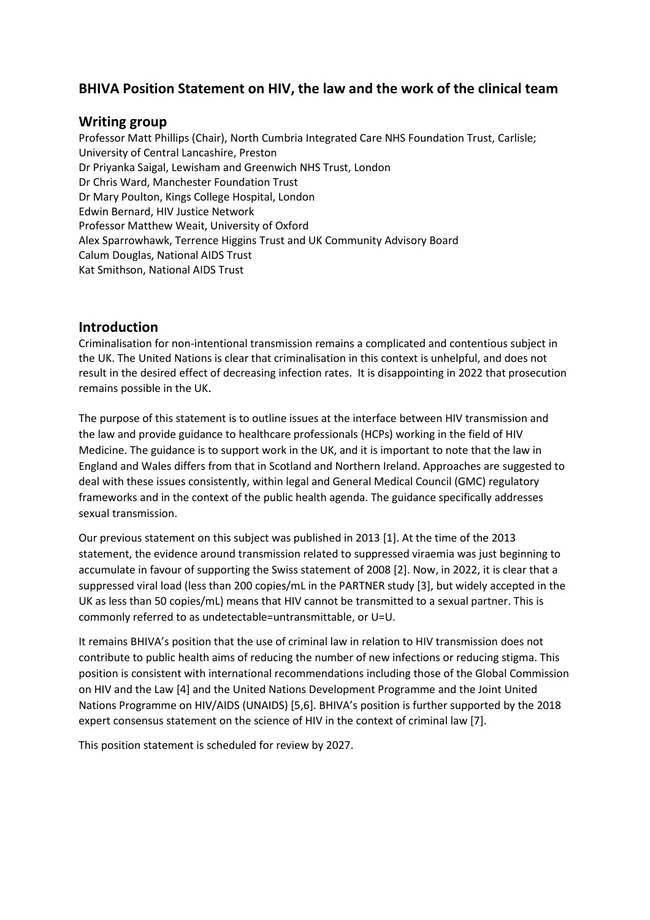## **BHIVA Position Statement on HIV, the law and the work of the clinical team**

### **Writing group**

Professor Matt Phillips (Chair), North Cumbria Integrated Care NHS Foundation Trust, Carlisle; University of Central Lancashire, Preston Dr Priyanka Saigal, Lewisham and Greenwich NHS Trust, London Dr Chris Ward, Manchester Foundation Trust Dr Mary Poulton, Kings College Hospital, London Edwin Bernard, HIV Justice Network Professor Matthew Weait, University of Oxford Alex Sparrowhawk, Terrence Higgins Trust and UK Community Advisory Board Calum Douglas, National AIDS Trust Kat Smithson, National AIDS Trust

## **Introduction**

Criminalisation for non-intentional transmission remains a complicated and contentious subject in the UK. The United Nations is clear that criminalisation in this context is unhelpful, and does not result in the desired effect of decreasing infection rates. It is disappointing in 2022 that prosecution remains possible in the UK.

The purpose of this statement is to outline issues at the interface between HIV transmission and the law and provide guidance to healthcare professionals (HCPs) working in the field of HIV Medicine. The guidance is to support work in the UK, and it is important to note that the law in England and Wales differs from that in Scotland and Northern Ireland. Approaches are suggested to deal with these issues consistently, within legal and General Medical Council (GMC) regulatory frameworks and in the context of the public health agenda. The guidance specifically addresses sexual transmission.

Our previous statement on this subject was published in 2013 [1]. At the time of the 2013 statement, the evidence around transmission related to suppressed viraemia was just beginning to accumulate in favour of supporting the Swiss statement of 2008 [2]. Now, in 2022, it is clear that a suppressed viral load (less than 200 copies/mL in the PARTNER study [3], but widely accepted in the UK as less than 50 copies/mL) means that HIV cannot be transmitted to a sexual partner. This is commonly referred to as undetectable=untransmittable, or U=U.

It remains BHIVA's position that the use of criminal law in relation to HIV transmission does not contribute to public health aims of reducing the number of new infections or reducing stigma. This position is consistent with international recommendations including those of the Global Commission on HIV and the Law [4] and the United Nations Development Programme and the Joint United Nations Programme on HIV/AIDS (UNAIDS) [5,6]. BHIVA's position is further supported by the 2018 expert consensus statement on the science of HIV in the context of criminal law [7].

This position statement is scheduled for review by 2027.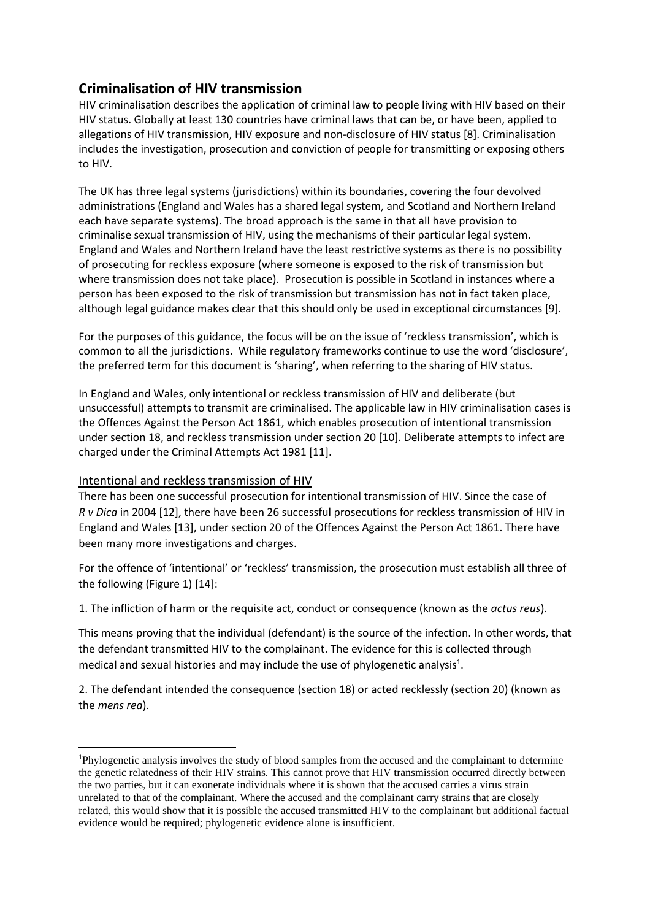# **Criminalisation of HIV transmission**

HIV criminalisation describes the application of criminal law to people living with HIV based on their HIV status. Globally at least 130 countries have criminal laws that can be, or have been, applied to allegations of HIV transmission, HIV exposure and non-disclosure of HIV status [8]. Criminalisation includes the investigation, prosecution and conviction of people for transmitting or exposing others to HIV.

The UK has three legal systems (jurisdictions) within its boundaries, covering the four devolved administrations (England and Wales has a shared legal system, and Scotland and Northern Ireland each have separate systems). The broad approach is the same in that all have provision to criminalise sexual transmission of HIV, using the mechanisms of their particular legal system. England and Wales and Northern Ireland have the least restrictive systems as there is no possibility of prosecuting for reckless exposure (where someone is exposed to the risk of transmission but where transmission does not take place). Prosecution is possible in Scotland in instances where a person has been exposed to the risk of transmission but transmission has not in fact taken place, although legal guidance makes clear that this should only be used in exceptional circumstances [9].

For the purposes of this guidance, the focus will be on the issue of 'reckless transmission', which is common to all the jurisdictions. While regulatory frameworks continue to use the word 'disclosure', the preferred term for this document is 'sharing', when referring to the sharing of HIV status.

In England and Wales, only intentional or reckless transmission of HIV and deliberate (but unsuccessful) attempts to transmit are criminalised. The applicable law in HIV criminalisation cases is the Offences Against the Person Act 1861, which enables prosecution of intentional transmission under section 18, and reckless transmission under section 20 [10]. Deliberate attempts to infect are charged under the Criminal Attempts Act 1981 [11].

#### Intentional and reckless transmission of HIV

There has been one successful prosecution for intentional transmission of HIV. Since the case of *R v Dica* in 2004 [12], there have been 26 successful prosecutions for reckless transmission of HIV in England and Wales [13], under section 20 of the Offences Against the Person Act 1861. There have been many more investigations and charges.

For the offence of 'intentional' or 'reckless' transmission, the prosecution must establish all three of the following (Figure 1) [14]:

1. The infliction of harm or the requisite act, conduct or consequence (known as the *actus reus*).

This means proving that the individual (defendant) is the source of the infection. In other words, that the defendant transmitted HIV to the complainant. The evidence for this is collected through medical and sexual histories and may include the use of phylogenetic analysis<sup>1</sup>.

2. The defendant intended the consequence (section 18) or acted recklessly (section 20) (known as the *mens rea*).

<sup>1</sup>Phylogenetic analysis involves the study of blood samples from the accused and the complainant to determine the genetic relatedness of their HIV strains. This cannot prove that HIV transmission occurred directly between the two parties, but it can exonerate individuals where it is shown that the accused carries a virus strain unrelated to that of the complainant. Where the accused and the complainant carry strains that are closely related, this would show that it is possible the accused transmitted HIV to the complainant but additional factual evidence would be required; phylogenetic evidence alone is insufficient.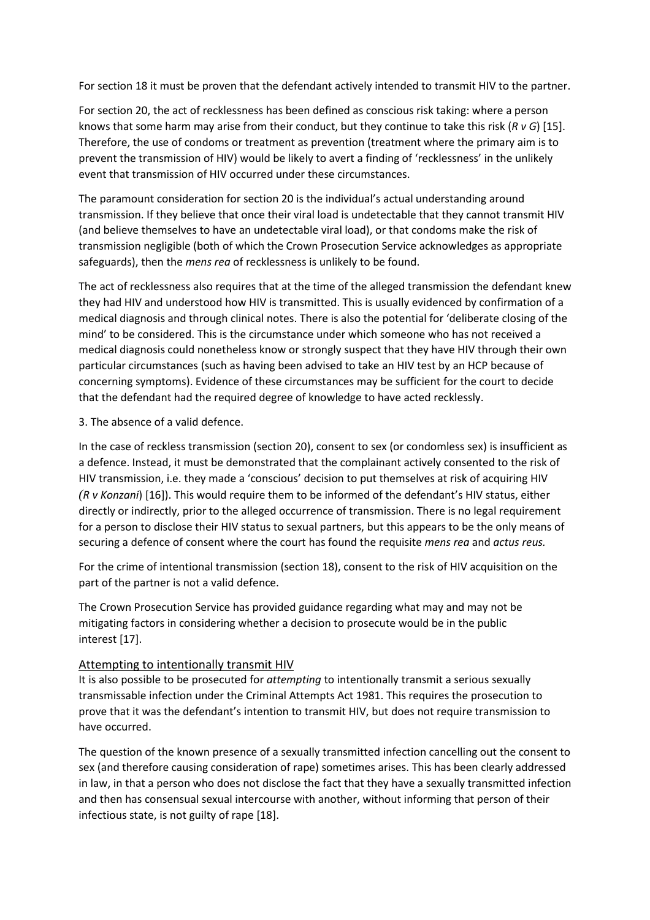For section 18 it must be proven that the defendant actively intended to transmit HIV to the partner.

For section 20, the act of recklessness has been defined as conscious risk taking: where a person knows that some harm may arise from their conduct, but they continue to take this risk (*R v G*) [15]. Therefore, the use of condoms or treatment as prevention (treatment where the primary aim is to prevent the transmission of HIV) would be likely to avert a finding of 'recklessness' in the unlikely event that transmission of HIV occurred under these circumstances.

The paramount consideration for section 20 is the individual's actual understanding around transmission. If they believe that once their viral load is undetectable that they cannot transmit HIV (and believe themselves to have an undetectable viral load), or that condoms make the risk of transmission negligible (both of which the Crown Prosecution Service acknowledges as appropriate safeguards), then the *mens rea* of recklessness is unlikely to be found.

The act of recklessness also requires that at the time of the alleged transmission the defendant knew they had HIV and understood how HIV is transmitted. This is usually evidenced by confirmation of a medical diagnosis and through clinical notes. There is also the potential for 'deliberate closing of the mind' to be considered. This is the circumstance under which someone who has not received a medical diagnosis could nonetheless know or strongly suspect that they have HIV through their own particular circumstances (such as having been advised to take an HIV test by an HCP because of concerning symptoms). Evidence of these circumstances may be sufficient for the court to decide that the defendant had the required degree of knowledge to have acted recklessly.

3. The absence of a valid defence.

In the case of reckless transmission (section 20), consent to sex (or condomless sex) is insufficient as a defence. Instead, it must be demonstrated that the complainant actively consented to the risk of HIV transmission, i.e. they made a 'conscious' decision to put themselves at risk of acquiring HIV *(R v Konzani*) [16]). This would require them to be informed of the defendant's HIV status, either directly or indirectly, prior to the alleged occurrence of transmission. There is no legal requirement for a person to disclose their HIV status to sexual partners, but this appears to be the only means of securing a defence of consent where the court has found the requisite *mens rea* and *actus reus.*

For the crime of intentional transmission (section 18), consent to the risk of HIV acquisition on the part of the partner is not a valid defence.

The Crown Prosecution Service has provided guidance regarding what may and may not be mitigating factors in considering whether a decision to prosecute would be in the public interest [17].

#### Attempting to intentionally transmit HIV

It is also possible to be prosecuted for *attempting* to intentionally transmit a serious sexually transmissable infection under the Criminal Attempts Act 1981. This requires the prosecution to prove that it was the defendant's intention to transmit HIV, but does not require transmission to have occurred.

The question of the known presence of a sexually transmitted infection cancelling out the consent to sex (and therefore causing consideration of rape) sometimes arises. This has been clearly addressed in law, in that a person who does not disclose the fact that they have a sexually transmitted infection and then has consensual sexual intercourse with another, without informing that person of their infectious state, is not guilty of rape [18].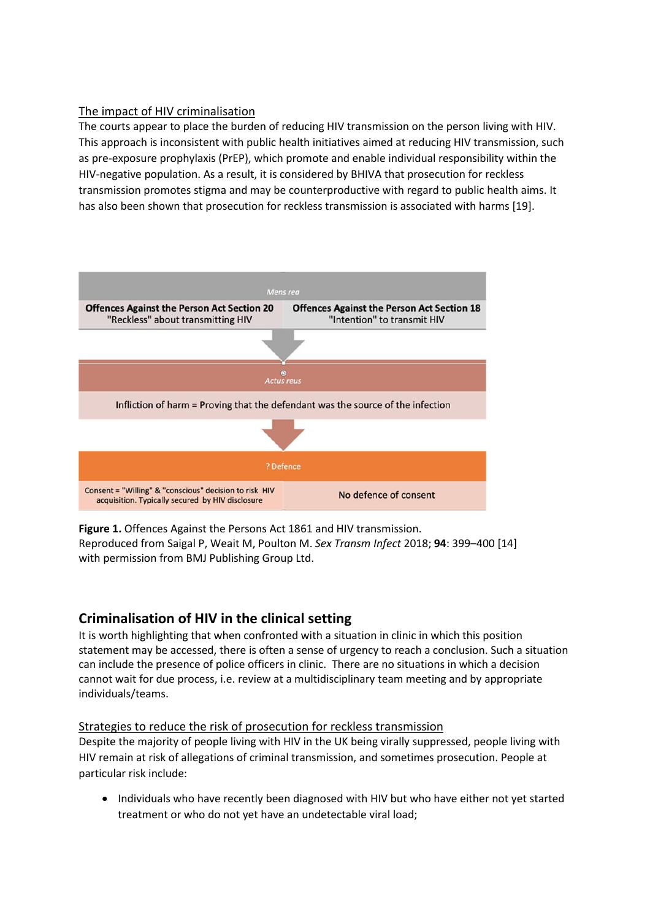### The impact of HIV criminalisation

The courts appear to place the burden of reducing HIV transmission on the person living with HIV. This approach is inconsistent with public health initiatives aimed at reducing HIV transmission, such as pre-exposure prophylaxis (PrEP), which promote and enable individual responsibility within the HIV-negative population. As a result, it is considered by BHIVA that prosecution for reckless transmission promotes stigma and may be counterproductive with regard to public health aims. It has also been shown that prosecution for reckless transmission is associated with harms [19].



**Figure 1.** Offences Against the Persons Act 1861 and HIV transmission. Reproduced from Saigal P, Weait M, Poulton M. *Sex Transm Infect* 2018; **94**: 399–400 [14] with permission from BMJ Publishing Group Ltd.

# **Criminalisation of HIV in the clinical setting**

It is worth highlighting that when confronted with a situation in clinic in which this position statement may be accessed, there is often a sense of urgency to reach a conclusion. Such a situation can include the presence of police officers in clinic. There are no situations in which a decision cannot wait for due process, i.e. review at a multidisciplinary team meeting and by appropriate individuals/teams.

#### Strategies to reduce the risk of prosecution for reckless transmission

Despite the majority of people living with HIV in the UK being virally suppressed, people living with HIV remain at risk of allegations of criminal transmission, and sometimes prosecution. People at particular risk include:

• Individuals who have recently been diagnosed with HIV but who have either not yet started treatment or who do not yet have an undetectable viral load;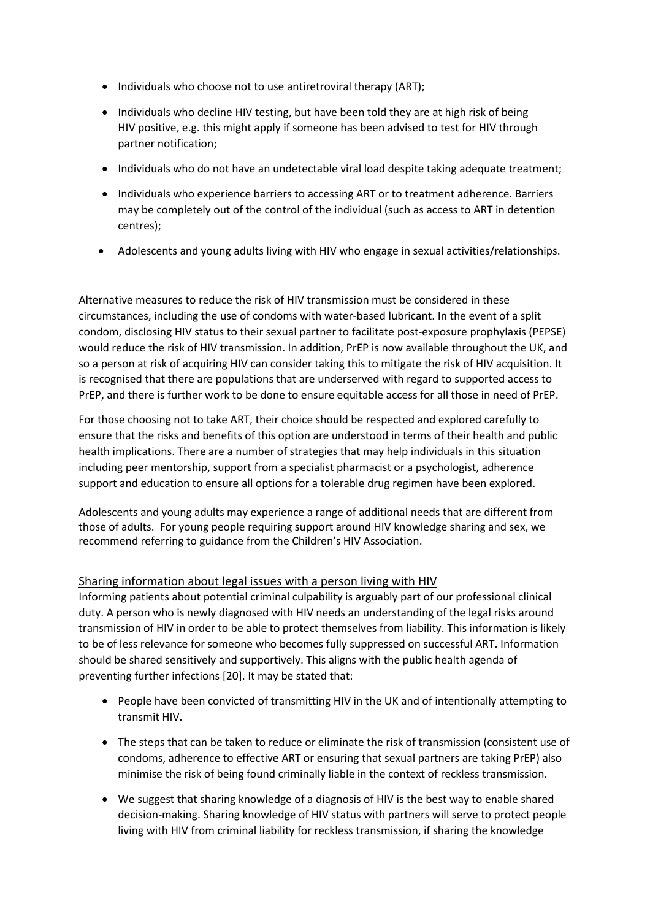- Individuals who choose not to use antiretroviral therapy (ART);
- Individuals who decline HIV testing, but have been told they are at high risk of being HIV positive, e.g. this might apply if someone has been advised to test for HIV through partner notification;
- Individuals who do not have an undetectable viral load despite taking adequate treatment;
- Individuals who experience barriers to accessing ART or to treatment adherence. Barriers may be completely out of the control of the individual (such as access to ART in detention centres);
- Adolescents and young adults living with HIV who engage in sexual activities/relationships.

Alternative measures to reduce the risk of HIV transmission must be considered in these circumstances, including the use of condoms with water-based lubricant. In the event of a split condom, disclosing HIV status to their sexual partner to facilitate post-exposure prophylaxis (PEPSE) would reduce the risk of HIV transmission. In addition, PrEP is now available throughout the UK, and so a person at risk of acquiring HIV can consider taking this to mitigate the risk of HIV acquisition. It is recognised that there are populations that are underserved with regard to supported access to PrEP, and there is further work to be done to ensure equitable access for all those in need of PrEP.

For those choosing not to take ART, their choice should be respected and explored carefully to ensure that the risks and benefits of this option are understood in terms of their health and public health implications. There are a number of strategies that may help individuals in this situation including peer mentorship, support from a specialist pharmacist or a psychologist, adherence support and education to ensure all options for a tolerable drug regimen have been explored.

Adolescents and young adults may experience a range of additional needs that are different from those of adults. For young people requiring support around HIV knowledge sharing and sex, we recommend referring to guidance from the Children's HIV Association.

#### Sharing information about legal issues with a person living with HIV

Informing patients about potential criminal culpability is arguably part of our professional clinical duty. A person who is newly diagnosed with HIV needs an understanding of the legal risks around transmission of HIV in order to be able to protect themselves from liability. This information is likely to be of less relevance for someone who becomes fully suppressed on successful ART. Information should be shared sensitively and supportively. This aligns with the public health agenda of preventing further infections [20]. It may be stated that:

- People have been convicted of transmitting HIV in the UK and of intentionally attempting to transmit HIV.
- The steps that can be taken to reduce or eliminate the risk of transmission (consistent use of condoms, adherence to effective ART or ensuring that sexual partners are taking PrEP) also minimise the risk of being found criminally liable in the context of reckless transmission.
- We suggest that sharing knowledge of a diagnosis of HIV is the best way to enable shared decision-making. Sharing knowledge of HIV status with partners will serve to protect people living with HIV from criminal liability for reckless transmission, if sharing the knowledge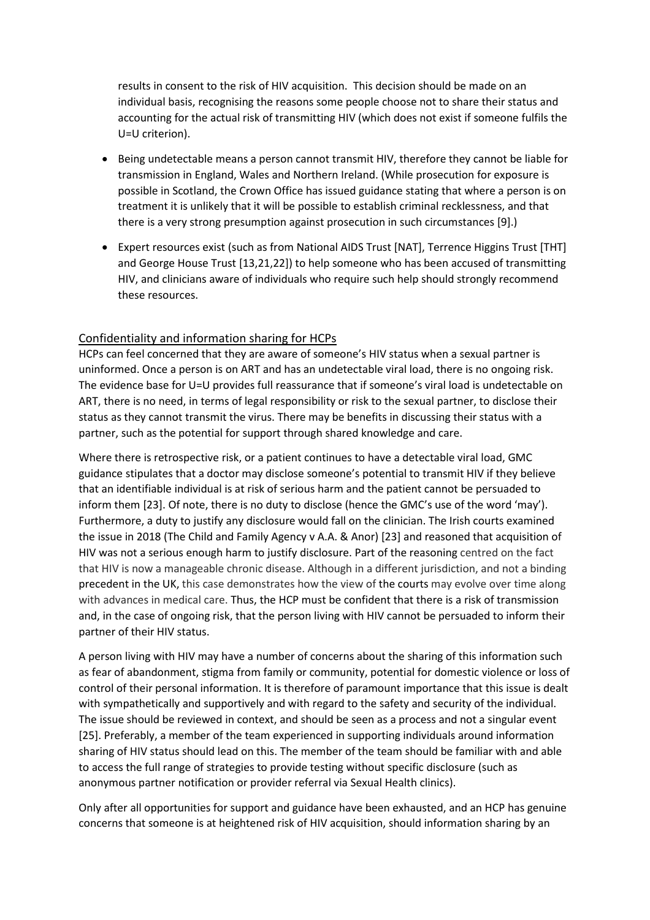results in consent to the risk of HIV acquisition. This decision should be made on an individual basis, recognising the reasons some people choose not to share their status and accounting for the actual risk of transmitting HIV (which does not exist if someone fulfils the U=U criterion).

- Being undetectable means a person cannot transmit HIV, therefore they cannot be liable for transmission in England, Wales and Northern Ireland. (While prosecution for exposure is possible in Scotland, the Crown Office has issued guidance stating that where a person is on treatment it is unlikely that it will be possible to establish criminal recklessness, and that there is a very strong presumption against prosecution in such circumstances [9].)
- Expert resources exist (such as from National AIDS Trust [NAT], Terrence Higgins Trust [THT] and George House Trust [13,21,22]) to help someone who has been accused of transmitting HIV, and clinicians aware of individuals who require such help should strongly recommend these resources.

#### Confidentiality and information sharing for HCPs

HCPs can feel concerned that they are aware of someone's HIV status when a sexual partner is uninformed. Once a person is on ART and has an undetectable viral load, there is no ongoing risk. The evidence base for U=U provides full reassurance that if someone's viral load is undetectable on ART, there is no need, in terms of legal responsibility or risk to the sexual partner, to disclose their status as they cannot transmit the virus. There may be benefits in discussing their status with a partner, such as the potential for support through shared knowledge and care.

Where there is retrospective risk, or a patient continues to have a detectable viral load, GMC guidance stipulates that a doctor may disclose someone's potential to transmit HIV if they believe that an identifiable individual is at risk of serious harm and the patient cannot be persuaded to inform them [23]. Of note, there is no duty to disclose (hence the GMC's use of the word 'may'). Furthermore, a duty to justify any disclosure would fall on the clinician. The Irish courts examined the issue in 2018 (The Child and Family Agency v A.A. & Anor) [23] and reasoned that acquisition of HIV was not a serious enough harm to justify disclosure. Part of the reasoning centred on the fact that HIV is now a manageable chronic disease. Although in a different jurisdiction, and not a binding precedent in the UK, this case demonstrates how the view of the courts may evolve over time along with advances in medical care. Thus, the HCP must be confident that there is a risk of transmission and, in the case of ongoing risk, that the person living with HIV cannot be persuaded to inform their partner of their HIV status.

A person living with HIV may have a number of concerns about the sharing of this information such as fear of abandonment, stigma from family or community, potential for domestic violence or loss of control of their personal information. It is therefore of paramount importance that this issue is dealt with sympathetically and supportively and with regard to the safety and security of the individual. The issue should be reviewed in context, and should be seen as a process and not a singular event [25]. Preferably, a member of the team experienced in supporting individuals around information sharing of HIV status should lead on this. The member of the team should be familiar with and able to access the full range of strategies to provide testing without specific disclosure (such as anonymous partner notification or provider referral via Sexual Health clinics).

Only after all opportunities for support and guidance have been exhausted, and an HCP has genuine concerns that someone is at heightened risk of HIV acquisition, should information sharing by an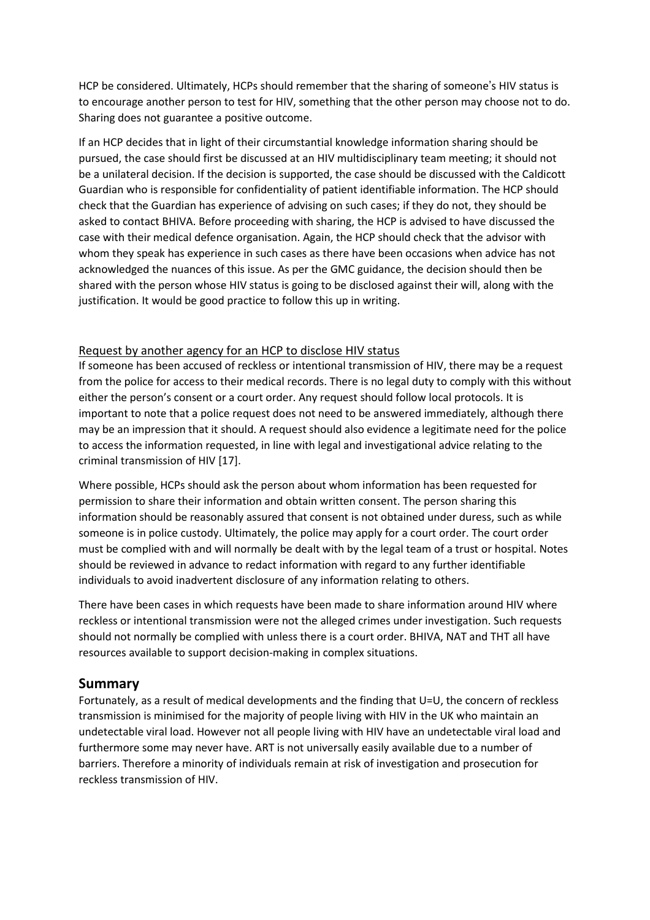HCP be considered. Ultimately, HCPs should remember that the sharing of someone's HIV status is to encourage another person to test for HIV, something that the other person may choose not to do. Sharing does not guarantee a positive outcome.

If an HCP decides that in light of their circumstantial knowledge information sharing should be pursued, the case should first be discussed at an HIV multidisciplinary team meeting; it should not be a unilateral decision. If the decision is supported, the case should be discussed with the Caldicott Guardian who is responsible for confidentiality of patient identifiable information. The HCP should check that the Guardian has experience of advising on such cases; if they do not, they should be asked to contact BHIVA. Before proceeding with sharing, the HCP is advised to have discussed the case with their medical defence organisation. Again, the HCP should check that the advisor with whom they speak has experience in such cases as there have been occasions when advice has not acknowledged the nuances of this issue. As per the GMC guidance, the decision should then be shared with the person whose HIV status is going to be disclosed against their will, along with the justification. It would be good practice to follow this up in writing.

#### Request by another agency for an HCP to disclose HIV status

If someone has been accused of reckless or intentional transmission of HIV, there may be a request from the police for access to their medical records. There is no legal duty to comply with this without either the person's consent or a court order. Any request should follow local protocols. It is important to note that a police request does not need to be answered immediately, although there may be an impression that it should. A request should also evidence a legitimate need for the police to access the information requested, in line with legal and investigational advice relating to the criminal transmission of HIV [17].

Where possible, HCPs should ask the person about whom information has been requested for permission to share their information and obtain written consent. The person sharing this information should be reasonably assured that consent is not obtained under duress, such as while someone is in police custody. Ultimately, the police may apply for a court order. The court order must be complied with and will normally be dealt with by the legal team of a trust or hospital. Notes should be reviewed in advance to redact information with regard to any further identifiable individuals to avoid inadvertent disclosure of any information relating to others.

There have been cases in which requests have been made to share information around HIV where reckless or intentional transmission were not the alleged crimes under investigation. Such requests should not normally be complied with unless there is a court order. BHIVA, NAT and THT all have resources available to support decision-making in complex situations.

#### **Summary**

Fortunately, as a result of medical developments and the finding that U=U, the concern of reckless transmission is minimised for the majority of people living with HIV in the UK who maintain an undetectable viral load. However not all people living with HIV have an undetectable viral load and furthermore some may never have. ART is not universally easily available due to a number of barriers. Therefore a minority of individuals remain at risk of investigation and prosecution for reckless transmission of HIV.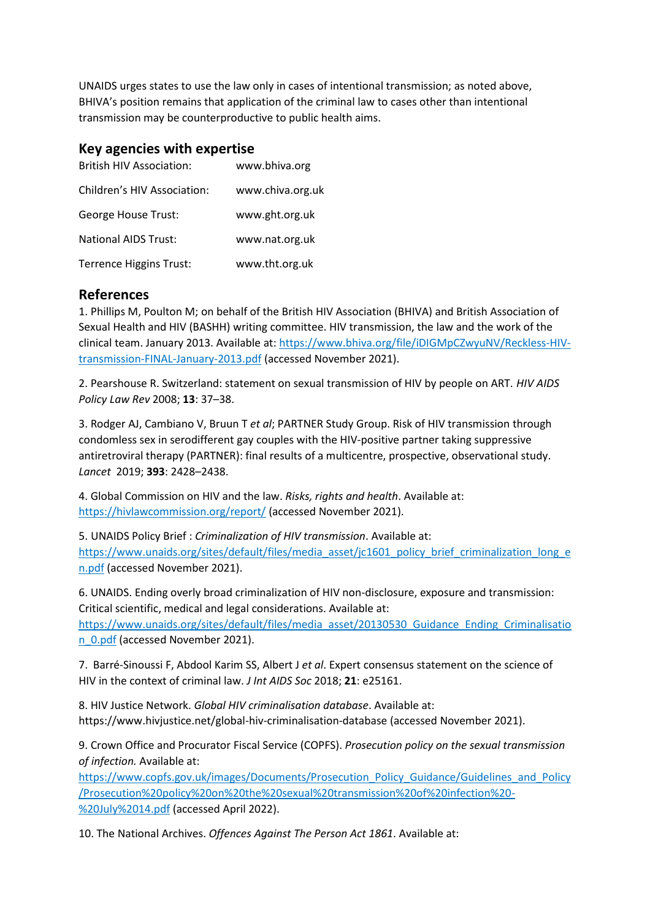UNAIDS urges states to use the law only in cases of intentional transmission; as noted above, BHIVA's position remains that application of the criminal law to cases other than intentional transmission may be counterproductive to public health aims.

## **Key agencies with expertise**

| <b>British HIV Association:</b> | www.bhiva.org    |
|---------------------------------|------------------|
| Children's HIV Association:     | www.chiva.org.uk |
| <b>George House Trust:</b>      | www.ght.org.uk   |
| <b>National AIDS Trust:</b>     | www.nat.org.uk   |
| <b>Terrence Higgins Trust:</b>  | www.tht.org.uk   |

## **References**

1. Phillips M, Poulton M; on behalf of the British HIV Association (BHIVA) and British Association of Sexual Health and HIV (BASHH) writing committee. HIV transmission, the law and the work of the clinical team. January 2013. Available at: [https://www.bhiva.org/file/iDIGMpCZwyuNV/Reckless-HIV](https://www.bhiva.org/file/iDIGMpCZwyuNV/Reckless-HIV-transmission-FINAL-January-2013.pdf)[transmission-FINAL-January-2013.pdf](https://www.bhiva.org/file/iDIGMpCZwyuNV/Reckless-HIV-transmission-FINAL-January-2013.pdf) (accessed November 2021).

2. Pearshouse R. Switzerland: statement on sexual transmission of HIV by people on ART. *HIV AIDS Policy Law Rev* 2008; **13**: 37–38.

3. Rodger AJ, [Cambiano](https://www.thelancet.com/journals/lancet/article/PIIS0140-6736(19)30418-0/fulltext) V, Bruun T *et al*; PARTNER Study Group. Risk of HIV transmission through condomless sex in serodifferent gay couples with the HIV-positive partner taking suppressive antiretroviral therapy (PARTNER): final results of a multicentre, prospective, observational study. *Lancet* [2019;](https://www.thelancet.com/journals/lancet/issue/vol393no10189/PIIS0140-6736(19)X0025-2) **393**: 2428–2438.

4. Global Commission on HIV and the law. *Risks, rights and health*. Available at: <https://hivlawcommission.org/report/> (accessed November 2021).

5. UNAIDS Policy Brief : *Criminalization of HIV transmission*. Available at: [https://www.unaids.org/sites/default/files/media\\_asset/jc1601\\_policy\\_brief\\_criminalization\\_long\\_e](https://www.unaids.org/sites/default/files/media_asset/jc1601_policy_brief_criminalization_long_en.pdf) [n.pdf](https://www.unaids.org/sites/default/files/media_asset/jc1601_policy_brief_criminalization_long_en.pdf) (accessed November 2021).

6. UNAIDS. Ending overly broad criminalization of HIV non-disclosure, exposure and transmission: Critical scientific, medical and legal considerations. Available at:

[https://www.unaids.org/sites/default/files/media\\_asset/20130530\\_Guidance\\_Ending\\_Criminalisatio](https://www.unaids.org/sites/default/files/media_asset/20130530_Guidance_Ending_Criminalisation_0.pdf) [n\\_0.pdf](https://www.unaids.org/sites/default/files/media_asset/20130530_Guidance_Ending_Criminalisation_0.pdf) (accessed November 2021).

7. Barré-Sinoussi F, Abdool Karim SS, Albert J *et al*. Expert consensus statement on the science of HIV in the context of criminal law. *J Int AIDS Soc* 2018; **21**: e25161.

8. HIV Justice Network. *Global HIV criminalisation database*. Available at: <https://www.hivjustice.net/global-hiv-criminalisation-database> (accessed November 2021).

9. Crown Office and Procurator Fiscal Service (COPFS). *Prosecution policy on the sexual transmission of infection.* Available at:

[https://www.copfs.gov.uk/images/Documents/Prosecution\\_Policy\\_Guidance/Guidelines\\_and\\_Policy](https://www.copfs.gov.uk/images/Documents/Prosecution_Policy_Guidance/Guidelines_and_Policy/Prosecution%20policy%20on%20the%20sexual%20transmission%20of%20infection%20-%20July%2014.pdf) [/Prosecution%20policy%20on%20the%20sexual%20transmission%20of%20infection%20-](https://www.copfs.gov.uk/images/Documents/Prosecution_Policy_Guidance/Guidelines_and_Policy/Prosecution%20policy%20on%20the%20sexual%20transmission%20of%20infection%20-%20July%2014.pdf) [%20July%2014.pdf](https://www.copfs.gov.uk/images/Documents/Prosecution_Policy_Guidance/Guidelines_and_Policy/Prosecution%20policy%20on%20the%20sexual%20transmission%20of%20infection%20-%20July%2014.pdf) (accessed April 2022).

10. The National Archives. *Offences Against The Person Act 1861*. Available at: